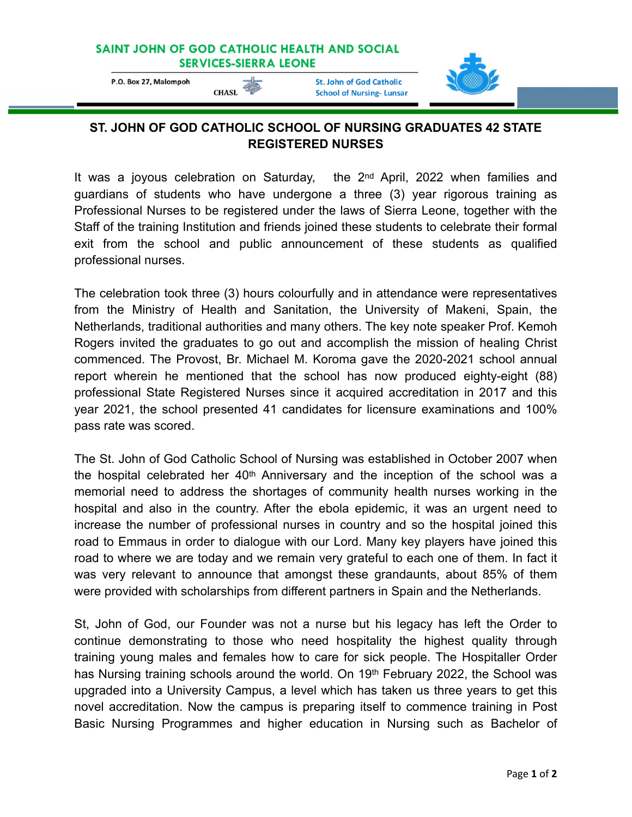## SAINT JOHN OF GOD CATHOLIC HEALTH AND SOCIAL **SERVICES-SIERRA LEONE**

P.O. Box 27, Malompoh

CHASL

**St. John of God Catholic School of Nursing-Lunsar** 



## **ST. JOHN OF GOD CATHOLIC SCHOOL OF NURSING GRADUATES 42 STATE REGISTERED NURSES**

It was a joyous celebration on Saturday, the 2nd April, 2022 when families and guardians of students who have undergone a three (3) year rigorous training as Professional Nurses to be registered under the laws of Sierra Leone, together with the Staff of the training Institution and friends joined these students to celebrate their formal exit from the school and public announcement of these students as qualified professional nurses.

The celebration took three (3) hours colourfully and in attendance were representatives from the Ministry of Health and Sanitation, the University of Makeni, Spain, the Netherlands, traditional authorities and many others. The key note speaker Prof. Kemoh Rogers invited the graduates to go out and accomplish the mission of healing Christ commenced. The Provost, Br. Michael M. Koroma gave the 2020-2021 school annual report wherein he mentioned that the school has now produced eighty-eight (88) professional State Registered Nurses since it acquired accreditation in 2017 and this year 2021, the school presented 41 candidates for licensure examinations and 100% pass rate was scored.

The St. John of God Catholic School of Nursing was established in October 2007 when the hospital celebrated her  $40<sup>th</sup>$  Anniversary and the inception of the school was a memorial need to address the shortages of community health nurses working in the hospital and also in the country. After the ebola epidemic, it was an urgent need to increase the number of professional nurses in country and so the hospital joined this road to Emmaus in order to dialogue with our Lord. Many key players have joined this road to where we are today and we remain very grateful to each one of them. In fact it was very relevant to announce that amongst these grandaunts, about 85% of them were provided with scholarships from different partners in Spain and the Netherlands.

St, John of God, our Founder was not a nurse but his legacy has left the Order to continue demonstrating to those who need hospitality the highest quality through training young males and females how to care for sick people. The Hospitaller Order has Nursing training schools around the world. On 19th February 2022, the School was upgraded into a University Campus, a level which has taken us three years to get this novel accreditation. Now the campus is preparing itself to commence training in Post Basic Nursing Programmes and higher education in Nursing such as Bachelor of